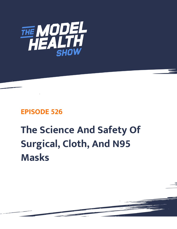

## **EPISODE 526**

## **The Science And Safety Of Surgical, Cloth, And N95 Masks**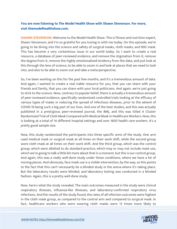## **You are now listening to The Model Health Show with Shawn Stevenson. For more, visit themodelhealthshow.com.**

**SHAWN STEVENSON:** Welcome to the Model Health Show. This is fitness and nutrition expert, Shawn Stevenson, and I'm so grateful for you tuning in with me today. On this episode, we're going to be diving into the science and safety of surgical masks, cloth masks, and N95 mask. This has become a very contentious issue in our world today. So I want to create a real resource, a database of peer-reviewed evidence, and remove the stigmatism from it, remove the dogma from it, remove the highly emotionalized tendency from the data, and just look at this through the lens of science, to be able to zoom in and look at places that we need to look into, and also to be able to zoom out and take a meta-perspective.

So, I've been working on this for the past few months, and it's a tremendous amount of data. And again, I wanted to create a real viable resource for you, that you can share with your friends and family, that you can share with your local politicians. And again, we're just going to stick to the science. Now, contrary to popular belief, there is actually a tremendous amount of peer-reviewed evidence, specifically randomized controlled trials looking at the efficacy of various types of masks in reducing the spread of infectious diseases, prior to the advent of COVID-19 being such a big part of our lives. And one of the best studies, and this was actually published in a prestigious peer-reviewed journal, the BMJ, and this was titled A Cluster Randomized Trial of Cloth Mask Compared with Medical Mask in Healthcare Workers. Now, this is looking at a total of 14 different hospital settings and over 1600 health care workers. It's a pretty good sample size.

Now, this study randomized the participants into three specific arms of the study. One arm used medical mask or surgical mask at all times on their work shift, while the second group wore cloth mask at all times on their work shift. And the third group, which was the control group, which were allotted to do standard practice, which may or may not include mask use, which we're going to talk a little bit more about that in a moment, but this is our control group. And again, this was a really well-done study under these conditions, where we have a lot of moving pieces. And obviously, face mask use is a visible intervention, by the way, so this points to the fact that this can't necessarily be a blinded study in the arena where it's taking place. But the laboratory results were blinded, and laboratory testing was conducted in a blinded fashion. Again, this is a pretty well-done study.

Now, here's what the study revealed. The main outcomes measured in the study were clinical respiratory illnesses, influenza-like illnesses, and laboratory-confirmed respiratory virus infections. And the results of the study found, the rates of all infection outcomes were highest in the cloth mask group, as compared to the control arm and compared to surgical mask. In [fact, healthcare workers who were wearing cloth masks were 13 times more likely to](https://themodelhealthshow.com/surgical-cloth-n95-masks/) 

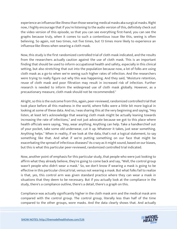experience an influenza-like illness than those wearing medical masks aka surgical masks. Right now, I highly encourage that if you're listening to the audio version of this, definitely check out the video version of this episode, so that you can see everything first-hand, you can see the graphs because truly, when it comes to such a contentious issue like this, seeing is often believing. So again, not two times, not five times, but 13 times more likely to experience an influenza-like illness when wearing a cloth mask.

Now, this study is the first randomized controlled trial of cloth mask indicated, and the results from the researchers actually caution against the use of cloth mask. This is an important finding that should be used to inform occupational health and safety, especially in this clinical setting, but also stretching that out into the population because now, a lot of folks are using cloth mask as a go-to when we're seeing such higher rates of infection. And the researchers were trying to really figure out why this was happening. And they said, "Moisture retention, reuse of cloth mask and poor filtration may result in increased risk of infection. Further research is needed to inform the widespread use of cloth mask globally. However, as a precautionary measure, cloth mask should not be recommended."

Alright, so this is the outcome from this, again, peer-reviewed, randomized controlled trial that took place before all this madness in the world, where folks were a little bit more logical in looking at some of these data. And so, I was sharing this at the very beginning and saying, "Hey listen, at least let's acknowledge that wearing cloth mask might be actually leaning towards increasing the rate of infections," and not just advocate because we got to this place where health officials were saying, "Hey, wear anything. Anything can help. Take a handkerchief out of your pocket, take some old underwear, cut it up. Whatever it takes, just wear something. Anything helps." When in reality, if we look at the data, that's not a logical statement, to say something like that. And what if we're putting something on our face that might be exacerbating the spread of infectious diseases? As crazy as it might sound, based on our biases, but this is what this particular peer-reviewed, randomized controlled trial indicated.

Now, another point of emphasis for this particular study, that people who were just looking to affirm what they already believe, they're going to come back and say, "Well, the control group wasn't people who didn't wear a mask." So, we don't know if wearing a mask is going to be effective in this particular clinical trial, versus not wearing a mask. But what folks fail to realize is that, yes, this control arm was given standard practice where they can wear a mask in situations that they deem to be necessary. But if you actually look at the compliance in the study, there's a compliance outline, there's a detail, there's a graph on this.

Compliance was actually significantly higher in the cloth mask arm and the medical mask arm compared with the control group. The control group, literally less than half of the time compared to the other groups, wore masks. And the data clearly shows that. And actually

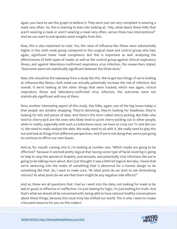again, you have to see this graph to believe it. They were just not very compliant in wearing a mask very often. So, this is starting to lean into looking at, "Hey, what about these folks that aren't wearing a mask or aren't wearing a mask very often, versus these two interventions?" And we can start to extrapolate some insights from this.

Now, this is also important to note. Yes, the rates of influenza-like illness were substantially higher in the cloth mask group compared to the surgical mask and control group who had, again, significant lower mask compliance. But this is important as well. Analyzing the effectiveness of both types of masks as well as the control group against clinical respiratory illness, and against laboratory-confirmed respiratory virus infection, the researchers stated, "Outcomes were not statistically significant between the three arms."

Now, this should be the takeaway from a study like this. We've got two things. If we're looking at influenza-like illness, cloth mask can actually potentially increase the risk of infection. But overall, if we're looking at the other things that were tracked, which was again, clinical respiratory illness and laboratory-confirmed virus infection, the outcomes were not statistically significant with any of them.

Now, another interesting aspect of this study. Hey folks, again, one of the big issues today is that people are window shopping. They're skimming, they're looking for headlines, they're looking for bits and pieces of data. And there's this term called cherry-picking. But folks who tend to cherry-pick are the ones who likely tend to point cherry-picking out in other people, when in reality, especially with such a contentious issue, we have to cross our T's and dot our I's. We need to really analyze the data. We really need to sit with it. We really need to play this out and look at things from different perspectives. And if we're not doing that, we're just going to continue to affirm our own biases.

And so, for myself, coming into it, I'm looking at number one, "Which masks are going to be effective?" because it seemed pretty logical that having some type of facial covering is going to help to stop the spread of droplets, and aerosols, and potentially viral infections like we're going to be talking more about. But I just thought it was a little bit logical. But also, I know that we're venturing into the realm of something that is abnormal for a human design to do something like that. So, I want to make sure, "At what point do we start to see diminishing returns? At what point do we see that there might be any negative side effects?"

And so, these are all questions that I had as I went into the data, not looking for mask to be bad or good, or effective or ineffective. I'm just looking for logic, I'm just looking for truth. And that's what we should all be concerned with, being able to have rational healthy conversations about these things, because this issue truly has shifted our world. This is why I want to create a focused resource for you on this subject.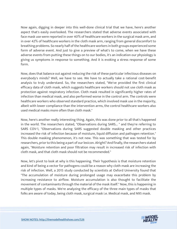Now again, digging in deeper into this well-done clinical trial that we have, here's another aspect that's easily overlooked. The researchers stated that adverse events associated with face mask use were reported in over 40% of healthcare workers in the surgical mask arm, and in over 42% of healthcare workers in the cloth mask arm, ranging from general discomfort to breathing problems. So nearly half of the healthcare workers in both groups experienced some form of adverse event. And just to give a preview of what's to come, when we have these adverse events from putting these things on to our bodies, it's an indication our physiology is giving us symptoms in response to something. And it is evoking a stress response of some form.

Now, does that balance out against reducing the risk of these particular infectious diseases on everybody's minds? Well, we have to see. We have to actually take a rational cost-benefit analysis to truly understand. So, the researchers stated, "We've provided the first clinical efficacy data of cloth mask, which suggests healthcare workers should not use cloth mask as protection against respiratory infection. Cloth mask resulted in significantly higher rates of infection than medical mask, and also performed worse in the control arm. The controls were healthcare workers who observed standard practice, which involved mask use in the majority, albeit with lower compliance than the intervention arms, the control healthcare workers also used medical masks more often than cloth mask."

Now, here's another really interesting thing. Again, this was done prior to all that's happened in the world. The researchers stated, "Observations during SARS... " and they're referring to SARS COV-1, "Observations during SARS suggested double masking and other practices increased the risk of infection because of moisture, liquid diffusion and pathogen retention." This double masking phenomenon, it's not new. This was something that was tested for by researchers, prior to this being a part of our lexicon. Alright? And finally, the researchers stated again, "Moisture retention and poor filtration may result in increased risk of infection with cloth mask, and that cloth mask should not be recommended."

Now, let's pivot to look at why is this happening. Their hypothesis is that moisture retention and kind of being a vector for pathogens could be a reason why cloth mask are increasing the risk of infection. Well, a 2015 study conducted by scientists at Oxford University found that "The accumulation of moisture during prolonged usage may exacerbate this problem by increasing resistance to airflow. Moisture accumulation is also thought to facilitate the movement of contaminants through the material of the mask itself." Now, this is happening in multiple types of masks. We're analyzing the efficacy of the three main types of masks that folks are aware of today, being cloth mask, surgical mask i.e. Medical mask, and N95 mask.

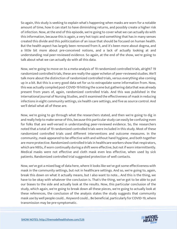So again, this study is seeking to explain what's happening when masks are worn for a notable amount of time, how it can start to have diminishing returns, and possibly create a higher risk of infection. Now, at the end of this episode, we're going to cover what we can actually do with this information, because this is again, a very hot topic and something that has in many senses created this divide and this politicization of an issue that should be focused on human health. But the health aspect has largely been removed from it, and it's been more about dogma, and a little bit more about pre-conceived notions, and a lack of actually looking at and understanding real peer-reviewed evidence. So again, at the end of the show, we're going to talk about what we can actually do with all this data.

Now, we're going to move on to a meta-analysis of 19 randomized controlled trials, alright? 19 randomized controlled trials, these are really the upper echelon of peer-reviewed studies. We'll talk more about the distinction of randomized controlled trials, versus everything else coming up in a bit. But this is a very good data set for us to extrapolate some information from. Now, this was actually compiled post-COVID-19 hitting the scene but gathering data that was already present from years of, again, randomized controlled trials. And this was published in the International Journal of Nursing Studies, and it examined the effectiveness of mask in reducing infections in eight community settings, six health care settings, and five as source control. And we'll detail what all of these are.

Now, we're going to go through what the researchers stated, and then we're going to dig in and really help to make sense of this, because this particular study can easily be confusing even for folks that are well-versed in understanding peer-reviewed evidence. So, the researchers noted that a total of 19 randomized controlled trials were included in this study. Most of these randomized controlled trials used different interventions and outcome measures. In the community, mask appeared to be effective with and without hand hygiene, and both together are more protective. Randomized controlled trials in healthcare workers show that respirators, which are N95s, if worn continually during a shift were effective, but not if worn intermittently. Medical masks were not effective and cloth mask even less effective, when used by sick patients. Randomized controlled trial suggested protection of well contacts.

Now, we've got a mixed bag of data here, where it looks like we've got some effectiveness with mask in the community settings, but not in healthcare settings. And so, we're going to, again, break this down on what it actually means, but I also want to note... And this is the thing, we have to be okay with whatever the conclusion is. That's the thing, we've got to be able to put our biases to the side and actually look at the results. Now, this particular conclusion of the study, which again, we're going to break down all these pieces, we're going to actually look at these references, the conclusion of the analysis states the study suggests that community mask use by well people could... Keyword could... Be beneficial, particularly for COVID-19, where transmission may be pre-symptomatic.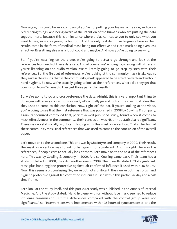Now again, this could be very confusing if you're not putting your biases to the side, and crossreferencing things, and being aware of the intention of the humans who are putting the data together here, because this is an instance where a bias can cause you to only see what you want to see, as you're going to find out. And the only real definitive language here in their results came in the form of medical mask being not effective and cloth mask being even less effective. Everything else was a lot of could and maybe. And now you're going to see why.

So, if you're watching on the video, we're going to actually go through and look at the references from each of these data sets. And of course, we're going to go along with it here, if you're listening on the audio version. We're literally going to go step by step with their references. So, the first set of references, we're looking at the community mask trials. Again, they said in the results that in the community, mask appeared to be effective with and without hand hygiene. So now we're actually going to look at their references. Where did they get that conclusion from? Where did they get those particular results?

So, we're going to go and cross-reference the data. Alright, this is a very important thing to do, again with a very contentious subject, let's actually go and look at the specific studies that they used to come to this conclusion. Now, right off the bat, if you're looking at the video, you're going to see that the first reference that was published in 2008 by Cowling & company, again, randomized controlled trial, peer-reviewed published study, found when it comes to mask effectiveness in the community, their conclusion was NS or not statistically significant. There was no statistically significant finding with this mask intervention. That's the first of these community mask trial references that was used to come to the conclusion of the overall paper.

Let's move on to the second one. This one was by MacIntyre and company in 2009. Their result, the mask intervention was found to be, again, not significant. And it's right there in the references, if people care to actually look at them. Let's move on to the next of the references here. This was by Cowling & company in 2009. And so, Cowling came back. Their team had a study published in 2008, they did another one in 2009. Their results stated, "Not significant. Mask plus hand hygiene protective against lab-confirmed influenza if used within 36 hours." Now, this seems a bit confusing. So, we've got not significant, then we've got mask plus hand hygiene protective against lab confirmed influenza if used within this particular day and a half time frame.

Let's look at the study itself, and this particular study was published in the Annals of Internal Medicine. And the study stated, "Hand hygiene, with or without face mask, seemed to reduce influenza transmission. But the differences compared with the control group were not significant. Also, "Interventions were implemented within 36 hours of symptom onset, and the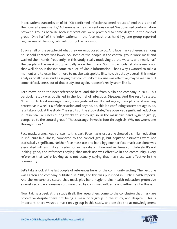index patient transmission of RT-PCR confirmed infection seemed reduced." And this is one of their overall assessments, "Adherence to the interventions varied. We observed contamination between groups because both interventions were practiced to some degree in the control group. Only half of the index patients in the face mask plus hand hygiene group reported regular use of the surgical mask during the follow-up.

So only half of the people did what they were supposed to do. And face mask adherence among household contacts was lower. So, some of the people in the control group wore mask and washed their hands frequently. In this study, really muddying up the waters, and nearly half the people in the mask group actually wore their mask. So, this particular study is really not that well done. It doesn't come to a lot of viable information. That's why I wanted to take a moment and to examine it more to maybe extrapolate like, hey, this study overall, this metaanalysis of all these studies saying that community mask use was effective, maybe we can pull some effectiveness out of that study. But again, it doesn't really seem like it.

Let's move on to the next reference here, and this is from Aiello and company in 2010. This particular study was published in the Journal of Infectious Diseases. And the results stated, "Intention to treat non-significant, non-significant results. Yet again, mask plus hand washing protective in week 4-6 of observation and beyond. So, this is a conflicting statement again. So, let's take a look at the study. The results of the study state, "We observed significant reduction in influenza-like illness during weeks four through six in the mask plus hand hygiene group, compared to the control group." That's strange, in weeks four through six. Why not weeks one through three?

Face masks alone... Again, listen to this part. Face masks use alone showed a similar reduction in influenza-like illness, compared to the control group, but adjusted estimates were not statistically significant. Neither face mask use and hand hygiene nor face mask use alone was associated with a significant reduction in the rate of influenza-like illness cumulatively. It's not looking good, the references saying that mask use was effective in the community. Every reference that we're looking at is not actually saying that mask use was effective in the community.

Let's take a look at the last couple of references here for the community setting. The next one was Larson and company published in 2010, and this was published in Public Health Reports. And the researchers stated that mask plus hand hygiene plus health education protective against secondary transmission, measured by confirmed influenza and influenza-like illness.

Now, taking a peek at the study itself, the researchers come to the conclusion that mask are protective despite there not being a mask only group in the study, and despite... This is important, there wasn't a mask-only group in this study, and despite the acknowledgement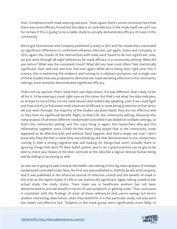that, "Compliance with mask wearing was poor." Now, again, there's some conclusion here that there was some efficacy found, but the data is so contradictory in the study itself, we can't say for certain if this is going to be a viable study to actually demonstrate efficacy of mask in the community.

We've got Simmerman and Company published a study in 2011 and the researchers concluded no significant difference in confirmed influenza infection, yet again, Suess and Company in 2012, again, the results of the intervention with mask were found to be non-significant, now, we just went through all eight references for mask efficacy in a community setting. What did you notice? What was the consistent trend? What did you hear most often? Not statistically significant. Over and over and over and over again. What we're doing here right now, this is science, this is examining the evidence and coming to a rational conclusion, not a single one of these studies that was proposed to demonstrate mask use being effective in the community settings, even remotely demonstrated significant efficacy.

That's not my opinion. That's what their own data shows, if it was different, that's okay, I'd be all for it. I'd be wearing a mask right now on this show. But that's not what the data indicates, so at least to record this, I'm not mask bound. And realistically speaking, even if we could fight and claw and try to find some small instances of efficacy in mask being protective in that series we just went through, the majority of the studies say point blank, they are not effective and or they have no significant benefit. Right, so that's for the community setting, obviously this meta-analysis of all these different randomized controlled trials looked at multiple settings, so that's the community setting, and the crazy thing is, again, the researchers who put this information together, once COVID hit the scene, they stated that in the community, mask appeared to be effective with and without hand hygiene. And that's simply not true. I don't know why they did that or what they were thinking, but that demonstrates to me, researchers coming in with a strong cognitive bias and looking for things that aren't actually there or ignoring things that don't fit their belief system, and to be a good scientist you've got to be able to check your biases at the door and look at the data like a logical rational human being and be willing to be wrong as well.

So now we're going to take a look at the health care setting in this big meta-analysis of multiple randomized controlled trials. Now, the first one was published in 2009 by Jacobs and Company, and it was published in the American Journal of infection control and the benefit of mask in this trial, as the report states, it's NS or not statistically significant. Again, taking a peek at the actual study, the study states, "Face mask use in healthcare workers has not been demonstrated to provide benefit in terms of cold symptoms or getting colds." That conclusion is consistent with the findings of most of these references that you're seeing, but here's another interesting observation, when they tested for it in this particular study, not only were the masks not effective but, "Subjects in the mask group were significantly more likely to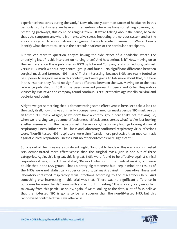experience headaches during the study." Now, obviously, common causes of headaches in this particular context where we have an intervention, where we have something covering our breathing pathways, this could be ranging from... If we're talking about the cause, because that's the symptom, anywhere from excessive stress, impacting the nervous system and or the endocrine system to abnormalities in oxygen exchange to acute inflammation. We can't really identify what the root cause is in the particular patients or the particular participants.

But we can start to question, they're having the side effect of a headache, what's the underlying issue? Is this intervention hurting them? And how serious is it? Now, moving on to the next reference, this is published in 2009 by Lobe and Company, and it pitted surgical mask versus N95 mask without any control group and found, "No significant difference between surgical mask and targeted N95 mask." That's interesting, because N95s are really touted to be superior to surgical mask in this context, and we're going to talk more about that, but here in this instance, they found no significant difference between the two. Moving on to the next reference published in 2011 in the peer-reviewed journal Influenza and Other Respiratory Viruses by MacIntyre and company found continuous N95 protective against clinical viral and bacterial end points.

Alright, we got something that is demonstrating some effectiveness here, let's take a look at the study itself, now this was primarily a comparison of medical masks versus N95 mask versus fit tested N95 mask. Alright, so we don't have a control group here that's not masking. So, when we're saying we got some effectiveness, effectiveness versus what? We're just looking at effectiveness within the triage of mask interventions, the primary findings looking at clinical respiratory illness, influenza-like illness and laboratory confirmed respiratory virus infections were, "Non-fit tested N95 respirators were significantly more protective than medical mask against clinical respiratory illnesses, but no other outcomes were significant."

So, one out of the three were significant, right. Now, just to be clear, this was a non-fit tested N95 demonstrated more effectiveness than the surgical mask, just in one out of three categories. Again, this is great, this is great. N95s were found to be effective against clinical respiratory illness, in fact, they stated, "Rates of infection in the medical mask group were double that in the N95 group." That's a pretty big statement but keep in mind, the results of the N95s were not statistically superior to surgical mask against influenza-like illness and laboratory-confirmed respiratory virus infections according to the researchers here. And something else interesting in this trial was that, "There was no significant difference in outcomes between the N95 arms with and without fit testing." This is a very, very important takeaway from this particular study, again, if we're looking at the data, a lot of folks believe that the fit-tested N95 is going to be far superior than the non-fit-tested N95, but this randomized controlled trial says otherwise.

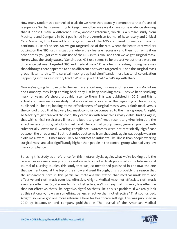How many randomized controlled trials do we have that actually demonstrate that fit-tested is superior? So that's something to keep in mind because we do have some evidence showing that it doesn't make a difference. Now, another reference, which is a similar study from MacIntyre and Company in 2013 published in the American Journal of Respiratory and Critical Care Medicine, this time adds in targeted use of the N95 compared to medical mask or continuous use of the N95. So, we got targeted use of the N95, where the health care workers putting on the N95 just in situations where they feel are necessary and then not having it on other times, you got continuous use of the N95 in this trial, and then we've got surgical mask. Here's what the study states, "Continuous N95 use seems to be protective but there were no difference between targeted N95 and medical mask." One other interesting finding here was that although there appeared to be no difference between targeted N95 and the surgical mask group, listen to this, "The surgical mask group had significantly more bacterial colonization happening in their respiratory tract." What's up with that? What's up with that?

Now we're going to move on to the next reference here, this was another one from MacIntyre and Company, they keep coming back, they just keep studying mask. They've been studying mask for years. We should probably listen to them. This was published in 2015, and this is actually our very well-done study that we've already covered at the beginning of this episode, published in The BMJ looking at the effectiveness of surgical masks versus cloth mask versus the control group that had very low mask compliance compared to the mask groups. All right, so MacIntyre just cracked the code, they came up with something really viable, finding again, that with clinical respiratory illness and laboratory confirmed respiratory virus infection, the effectiveness of surgical cloth mask and the control group using general practice with substantially lower mask wearing compliance, "Outcomes were not statistically significant between the three arms." But the standout outcome from that study again was people wearing cloth mask were 13 times more likely to contract an influenza-like illness than people wearing surgical mask and also significantly higher than people in the control group who had very low mask compliance.

So using this study as a reference for this meta-analysis, again, what we're looking at is the references in a meta-analysis of 19 randomized controlled trials published in the International Journal of Nursing Studies, this study that we just mentioned published in The BMJ, the one that we mentioned at the top of the show and went through, this is probably the reason that the researchers here in this particular meta-analysis stated that medical mask were not effective and cloth mask even less effective. Alright. Medical mask not effective, cloth mask even less effective. So, if something's not effective, we'll just say that it's zero, less effective than not effective, that's like negative, right? So that's like, this is a problem. If we really look at this rationally, how can something be less effective than not effective? That sounds bad. Alright, so we've got one more reference here for healthcare settings, this was published in 2019 by Radanovich and company published in The Journal of the American Medical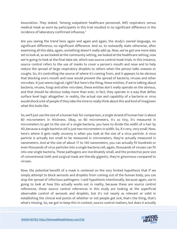Association. They stated, "Among outpatient healthcare personnel, N95 respirators versus medical mask as worn by participants in this trial resulted in no significant difference in the incidence of laboratory confirmed influenza."

Are you seeing the trend here again and again and again, the study's owned language, no significant difference, no significant difference. And so, to outwardly state otherwise, after examining all this data, again, something doesn't really add up. Now, we've got one more data set to look at, so we looked at the community setting, we looked at the healthcare setting, now we're going to look at the final data set, which was source control mask trials. In this instance, source control refers to the use of masks to cover a person's mouth and nose and to help reduce the spread of large respiratory droplets to others when the person talks sneezes or coughs. So, it's controlling the source of where it's coming from, and it appears to be obvious that blocking one's mouth and nose would prevent the spread of bacteria, viruses and other microbes. It just seems logical, right? But here's the thing, these entities, if we're talking about bacteria, viruses, fungi and other microbes, these entities don't really operate on the obvious, and that should be obvious today more than ever, in fact, they operate in a way that defies surface level logic altogether. In reality, the actual size and capability of a bacteria or virus would shock a lot of people if they take the time to really think about this and kind of imagineer what this looks like.

So, we'll just use the size of a human hair for comparison, a single strand of human hair is about 80 micrometers in thickness. Okay, so 80 micrometers, it's so tiny, it's measured in micrometers to get to the size of a single bacteria, you have to divide the width of a hair by 40, because a single bacteria cell is just two micrometers in width. So, it's very, very small. Now, here's where it gets really uncanny is when you look at the size of a virus particle. A virus particle is actually too small to be measured in micrometers, they're actually measured in nanometers. And at the size of about 17 to 140 nanometers, you can actually fit hundreds or even thousands of virus particles into a single bacteria cell, again, thousands of viruses can fit into one single bacteria. These pathogens are inordinately small, and the protective pore size of conventional cloth and surgical mask are literally gigantic, they're ginormous compared to viruses.

Now, the potential benefit of a mask is centered on the very limited hypothesis that if we simply attempt to block aerosols and droplets from coming out of the human body, you can stop the spread of infectious pathogens. I said hypothesis intentionally, because again, we're going to look at how this actually works out in reality, because these are source control references, these source control references in this study are looking at the superficial observable control of aerosols and droplets, but it's not nearly as relevant or valid in establishing the clinical end points of whether or not people get sick, that's the thing, that's what's missing. So, we got to keep this in context, source control matters, but does it actually

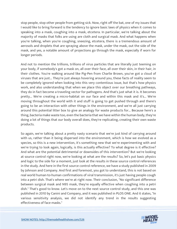stop people, stop other people from getting sick. Now, right off the bat, one of my issues that I would like to bring forward is the tendency to ignore basic laws of physics when it comes to speaking into a mask, coughing into a mask, etcetera. In particular, we're talking about the majority of masks that folks are using are cloth and surgical mask. And what happens when you're talking, when you're coughing, sneezing, etcetera, there is a tremendous amount of aerosols and droplets that are spraying above the mask, under the mask, out the side of the mask, and yes, a notable amount of projections go through the mask, especially if worn for longer periods.

And not to mention the trillions, trillions of virus particles that are literally just teeming on your body, if somebody's got a mask on, all over their face, all over their skin, in their hair, in their clothes. You're walking around like Pig-Pen from Charlie Brown, you've got a cloud of viruses that are just... They're just always hovering around you, these facts of reality seem to be completely ignored when looking into this very contentious issue, but that's how physics work, and also understanding that when we place this object over our breathing pathways, they do in fact become a traveling vector for pathogens. And that's just what it is. It becomes pretty... We're creating a micro-habitat on our face and within this mask and it's... We're moving throughout the world with it and stuff is going to get pushed through and there's going to be an interaction with other things in the environment, and we're all just carrying around this potential litter box to give an analogy for waste products for... Because here's a thing, bacteria make waste too, even the bacteria that we have within the human body, they're doing a lot of things that our body overall does, they're replicating, creating their own waste products.

So again, we're talking about a pretty nasty scenario that we're just kind of carrying around with us, rather than it being dispersed into the environment, which is how we evolved as a species, so this is a new intervention, it's something new that we're experimenting with and we're trying to look again, logically, is this actually effective? To what degree is it effective? And what are the potential detrimental or downsides of this intervention? But we're looking at source control right now, we're looking at what are the results? So, let's put basic physics and logic to the side for a moment, just look at the results in these source control references in the study. And here in the first source control reference, we have a study published in 2009 by Johnson and Company. And first and foremost, you got to understand, this is not based on real world human-to-human confirmations of viral transmission, it's just having people cough into a petri dish. That's where we're at right now. Their conclusion, "No significant difference between surgical mask and N95 mask, they're equally effective when coughing into a petri dish." That's good to know. Let's move on to the next source control study, and this one was published in 2010 by Canini and Company, and it was published in PLOS ONE. And it states, "In various sensitivity analysis, we did not identify any trend in the results suggesting effectiveness of face masks."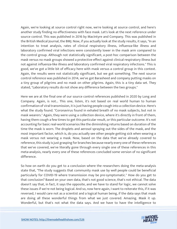Again, we're looking at source control right now, we're looking at source control, and here's another study finding no effectiveness with face mask. Let's look at the next reference under source control. This was published in 2016 by MacIntyre and Company. This was published in the British Medical Journal, the BMJ. Now, if you actually look at the study results, it says, "In an intention to treat analysis, rates of clinical respiratory illness, influenza-like illness and laboratory confirmed viral infections were consistently lower in the mask arm compared to the control group. Although not statistically significant, a post-hoc comparison between the mask versus no mask groups showed a protective effect against clinical respiratory illness but not against influenza-like illness and laboratory confirmed viral respiratory infections." This is good, we've got a little bit of efficacy here with mask versus a control group in this context. Again, the results were not statistically significant, but we got something. The next source control reference was published in 2014, we've got Barasheed and company putting masks on a tiny group of pilgrims and no mask on other pilgrims. Again, this is a tiny data set. They stated, "Laboratory results do not show any difference between the two groups."

Here we are at the final one of our source control references published in 2020 by Long and Company. Again, is not... This one, listen, it's not based on real world human to human confirmation of viral transmission, it is just having people cough into a collection device. Here's what the study found. "Coronavirus found in exhaled breath of no mask subjects, but not in mask wearers." Again, they were using a collection device, where it's directly in front of them, having them cough a few times to get this particular result, or this particular outcome. It's not accounting for basic real-world scenarios like the diminishing returns based on duration of the time the mask is worn. The droplets and aerosol spraying out the sides of the mask, and the most important factor, which is, do you actually see other people getting sick when wearing a mask versus not wearing a mask. Now, based on the data that we've already covered to reference, this study is just grasping for branches because nearly every one of these references that we've covered, we've literally gone through every single one of these references in this meta-analysis, nearly every one of these references concluded some version of no significant difference.

So how on earth do you get to a conclusion where the researchers doing the meta-analysis state that, "The study suggests that community mask use by well people could be beneficial particularly for COVID-19 where transmission may be pre-symptomatic." How do you get to that conclusion? Based on your own data, that's not good science, that's not ethical. The data doesn't say that, in fact, it says the opposite, and we have to stand for logic, we cannot solve these issues if we're not being logical. And so, now here again, I want to reiterate this, if it was reversed, I would care not as a scientist and a logical human being, if the data says that mask are doing all these wonderful things from what we just covered. Amazing. Mask it up. Wonderful, but that's not what the data says. And we have to have the intelligence to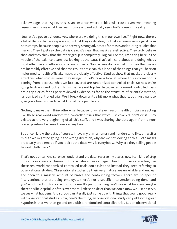acknowledge that. Again, this is an instance where a bias will cause even well-meaning researchers to see what they want to see and not actually see what's present in reality.

Now, we've got to ask ourselves, where are we doing this in our own lives? Right now, there's a lot of things that are separating us, that they're dividing us, that can seem very logical from both camps, because people who are very strong advocates for masks and touting studies that masks... They'll just say the data is clear, it's clear that masks are effective. They truly believe that, and they think that the other group is completely illogical. For me, I'm sitting here in the middle of the balance beam just looking at the data. That's all I care about and doing what's most effective and efficacious for our citizens. Now, where do folks get this idea that masks are incredibly effective and that the results are clear, this is one of the things that you hear on major media, health officials, masks are clearly effective. Studies show that masks are clearly effective, what studies were they using? So, let's take a look at where this information is coming from, because what we just covered are randomized controlled trials. So now we're going to dive in and look at things that are not top tier because randomized controlled trials are a top tier as far as peer-reviewed evidence, as far as the structure of scientific method, randomized controlled trial. We'll break down a little bit more what that is, but I just want to give you a heads-up as to what kind of data people are...

Getting to make them think otherwise, because for whatever reason, health officials are acting like these real-world randomized controlled trials that we've just covered, don't exist. They existed at the very beginning of all this stuff, and I was sharing the data again from a nonbiased position, because I reserved my bias.

But once I know the data, of course, I have my... I'm a human and I understand like, oh, wait a minute we might be going in the wrong direction, why are we not looking at this. Cloth masks are clearly problematic if you look at the data, why is everybody... Why are they telling people to work cloth mask?

That's not ethical. And so, once I understand the data, reserve my biases, now I can kind of step into a more clear conclusion, but for whatever reason, again, health officials are acting like these real-world randomized controlled trials don't exist and instead they keep referring to observational studies. Observational studies by their very nature are unreliable and unclear and open to a massive amount of biases and confounding factors. There are no specific interventions that are being employed, there's not a specific intervention being done, and you're not tracking for a specific outcome. It's just observing. We'll see what happens, maybe there this little sprinkle of this over there, little sprinkle of that, we don't know we just observe, we see what happens. And so, you can literally just come up with things that sound good, really with observational studies. Now, here's the thing, an observational study can yield some great hypothesis that we then go and test with a randomized controlled trial. But an observational

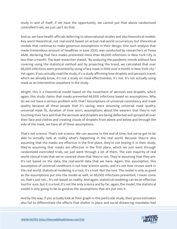study in and of itself, if we have the opportunity, we cannot put that above randomized controlled trials, we just can't do that.

And so, we have health officials deferring to observational studies and also theoretical models. Key word theoretical, not real-world based on actual real-world occurrences but theoretical models that continue to make generous assumptions in their design. One such analysis that made tremendous amount of headlines in June 2020, was conducted by researchers at Texas A&M, declaring that face masks prevented more than 66,000 infections in New York City in less than a month. The lead researcher stated, "By analyzing the pandemic trends without face covering using the statistical method and by projecting the trend, we calculated that over 66,000 infections were prevented by using a face mask in little over a month in New York city." Yet again, if you actually read the study, it's a study affirming how droplets and aerosols travel, which we already know, it's not a study on mask effectiveness, it's not. It's not actually using mask as an intervention anywhere in the study.

Alright, this is a theoretical model based on the movement of aerosols and droplets, which again, this study claims that masks prevented 66,000 infections based on assumptions. Why do we not have a serious problem with that? Assumptions of universal consistency and mask quality because all these people that it's saving, were assuming universal mask quality, universal mask fit, duration of time worn, assumptions about the wearers that they're not touching their face and that the aerosols and droplets are being deflected and sprayed all over their face and clothes and creating clouds of droplets from above and below and through the side of the mask, we have all of these assumptions.

That's not science. That's not science. We can assume to the end of time, but we've got to be able to actually look at reality what's happening in the real world. Because they're also assuming that the masks are effective in the first place, they're not testing it in their study, they're assuming that masks are effective in the first place, which we just went through randomized controlled trials, we just went through a lot of them. The vast majority of real world clinical trials that we've covered show that they're not. They're assuming that they are. It's not based on the data, the real-world data that we have. Again, this assumption, this assumption of universal conditions is not how science works, and it's not how viruses work in the real world. Statistical modeling is a tool, it's a tool. Not the tool. The model is only as good as the assumptions put into the model as well, so 66,000 infections prevented, I mean come on, that's just not... It's not based on reality. And again, statistical modeling can be an effective tool for sure, but it is a tool, it's not the only science and by far, again, the model, the statistical model is only going to be as good as the assumptions that are put into it.

And by the way, if you actually look at their graph in this particular study, their gross estimates also fail to differentiate the effects that shelter in place and social distancing mandates had

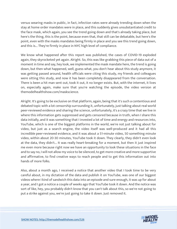versus wearing masks in public, in fact, infection rates were already trending down when the stay at home order mandates were in place, and this suddenly gives unsubstantiated credit to the face mask, which again, you see the trend going down and that's already taking place, but here's the thing, this is the point, because even that, that still can be debatable, but here's the point, even with the masks mandates being firmly in place and you see this trend going down, and this is... They're firmly in place in NYC high level of compliance.

We know what happened after this report was published, the cases of COVID-19 exploded again, they skyrocketed yet again. Alright. So, this was like grabbing this piece of data out of a moment in time and say, hey look, we implemented the mask mandate here, the trend is going down, but then what happened, well, guess what, you don't hear about this study anymore, it was getting passed around, health officials were citing this study, my friends and colleagues were sitting this study, and now it has been completely disappeared from the conversation. There is been a hit man sent out, took it out, it no longer exists. But, with the internet, it lives on, especially again, make sure that you're watching the episode, the video version at themodelhealthshow.com/maskscience.

Alright. It's going to be exclusive on that platform, again, being that it's such a contentious and debated topic with a lot censorship surrounding it, unfortunately, just talking about real world peer-reviewed evidence and sharing the science, unfortunately, it's a crazy time that we live in where this information gets suppressed and gets censored because in truth, when I share this data initially, and it was something that I invested a lot of time and energy and resources into, YouTube, which is one of the biggest platforms in the world, we're not just talking about for video, but just as a search engine, the video itself was well-produced and it had all this incredible peer-reviewed evidence, and it was about a 51-minute video, 50 something minute video, within about 20-30 minutes, YouTube took it down. They clearly, they didn't even look at the data, they didn't... It was really heart-breaking for a moment, but then it just inspired me even more because right now we have an opportunity to look these situations in the face and to say no, I will not allow my voice to be silenced, to get more creative and more supportive and affirmative, to find creative ways to reach people and to get this information out into hands of more folks.

Also, about a month ago, I received a notice that another video that I took time to be very careful about, in my dictation of the data and publish it on YouTube, was one of our biggest videos where I kind of sandwich this data into an episode and sure enough, it was up for about a year, and I got a notice a couple of weeks ago that YouTube took it down. And the notice was sort of like, hey, you probably didn't know that you can't talk about this, so we're not going to put a strike against you, we're just going to take it down. Just removed it.

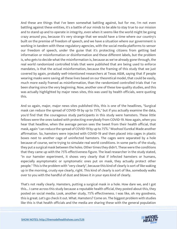And these are things that I've been somewhat battling against, but for me, I'm not even battling against these entities, it's a battle of our minds to be able to stay true to our mission and to stand up and to operate in integrity, even when it seems like the world might be going crazy around you, because it's very strange that we would have a time where our country's built on the premise of freedom of speech, and we have a situation where our government is working in tandem with these regulatory agencies, with the social media platforms to sensor our freedom of speech, under the guise that it's protecting citizens from getting bad information or misinformation or disinformation and these different labels, but the problem is, who gets to decide what the misinformation is, because as we've already gone through, the real world randomized controlled trials that were published that are being used to enforce mandates, is that the actual misinformation, because the framing of this study that we just covered by again, probably well-intentioned researchers at Texas A&M, saying that if people wearing masks were saving all these lives based on our theoretical model, that could be easily, much more easily framed as misinformation, than the randomized controlled trials that I've been sharing since the very beginning. Now, another one of these low-quality studies, and this was actually highlighted by major news sites, this was used by health officials, were quoting this.

And so again, major, major news sites published this, this is one of the headlines, "Surgical mask can reduce the spread of COVID-19 by up to 75%," but if you actually examine the data, you'd find that the courageous study participants in this study were hamsters. These little fellows were the ones tasked with protecting everybody from COVID-19. Now again, when you hear that headline, when the average person sees the tweet from their health official, that mask, again "can reduce the spread of COVID-19 by up to 75%." Woohoo! Eureka! Made another affirmation. So, hamsters were injected with COVID-19 and then placed into cages in plastic boxes next to another cage of uninfected hamsters. The cages were separated by a hole because of course, we're trying to simulate real world conditions. In some parts of the study, they put a surgical mask between the holes. Other times they didn't. These were the conditions that they came up with the 75% effectiveness figure. The lead researcher in the study stated, "In our hamster experiment, it shows very clearly that if infected hamsters or humans, especially asymptomatic or symptomatic ones put on mask, they actually protect other people." This is the problem with "very clearly", because this kind of clearly is sort of like waking up in the morning, crusty eye clearly, right. This kind of clearly is sort of like, somebody walks over to you with the handful of dust and blows it in your eyes kind of clearly.

That's not really clearly. Hamsters, putting a surgical mask in a hole. How dare we, and I got this... I came across this study because a reputable health official, they posted about this, they posted on social media. Look, another study, 75% effectiveness. I was like, oh my goodness, this is great. Let's go check it out. What. Hamsters? Come on. The biggest problem with studies like this is that health officials and the media are sharing these with the general population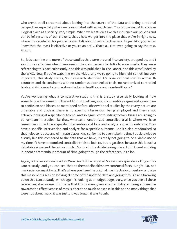who aren't at all concerned about looking into the source of the data and taking a rational perspective, especially when we're inundated with so much fear. This is how we get to such an illogical place as a society, very simple. When we let studies like this influence our policies and our belief systems of our citizens, that's how we get into the place that we're in right now, where it's so debated for people to even talk about mask effectiveness. It's just like, you better know that the mask is effective or you're an anti... That's a... Not even going to say the rest. Alright.

So, let's examine one more of these studies that were pressed into society, propped up, and I saw this as a tagline when I was seeing the commercials for folks to wear masks, they were referencing this particular study, and this was published in The Lancet, and this was funded by the WHO. Now, if you're watching on the video, and we're going to highlight something very important, this study states, "Our research identified 172 observational studies across 16 countries and six continents with no randomized controlled trials, no randomized controlled trials and 44 relevant comparative studies in healthcare and non-healthcare."

You're wondering what a comparative study is this is a study essentially looking at how something is the same or different from something else, it's incredibly vague and again open to confusion and biases, as mentioned before, observational studies by their very nature are unreliable and unclear, there is no specific intervention being employed and they're not actually looking at a specific outcome. And so again, confounding factors, biases are going to be rampant in studies like that, whereas a randomized controlled trial is where we have researchers introduce a specific intervention and look and analyze a specific outcome. They have a specific intervention and analyze for a specific outcome. And it's also randomized so that helps to reduce and eliminate biases. And so, for me to even take the time to acknowledge a study like this compared to the data that we have, it's really not going to be a viable use of my time if I have randomized controlled trials to look to, but regardless, because this is such a debatable issue and there's so much... So much of a divide taking place, I did, I went and dug in, spent a tremendous amount of time going through the references, it's a lot.

Again, 172 observational studies. Wow. And I did a targeted Masterclass episode looking at this Lancet study, and you can see that at themodelhealthshow.com/maskfacts. Alright. So, not mask science, mask facts. That's where you'll see the original mask facts documentary, and also this masterclass session looking at some of the updated data and going through and breaking down this Lancet study, which again is looking at a hodgepodge, truly, once you see all these references, it is insane. It's insane that this is even given any credibility as being affirmative towards the effectiveness of masks, there's so much nonsense in this and so many things that were not about mask, it was just... It was tough, it was tough.

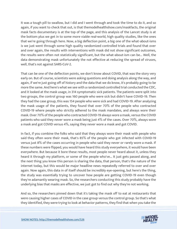It was a tough pill to swallow, but I did and I went through and took the time to do it, and so again, if you want to check that out, is that themodelhealthshow.com/maskfacts, the original mask facts documentary is at the top of the page, and this analysis of the Lancet study is at the bottom plus we get in to some more viable real-world, high quality studies, like the ones that we're going through here. Now, a big deflection point, a big one of the what-about-isms is we just went through some high quality randomized controlled trials and found that over and over again, the results with interventions with mask did not show significant outcomes, the results were often not statistically significant, but the what-about-ism can be... Well, the data demonstrating mask unfortunately the not effective at reducing the spread of viruses, well, that's not against SARS-CoV-2.

That can be one of the deflection points, we don't know about COVID, that was the story very early on. But of course, scientists were asking questions and doing analysis along the way, and again, if we're just going off of history and the data that we do know, it's probably going to be more the same. And here's what we see with a randomized controlled trial conducted the CDC, and it looked at the mask usage, in 314 symptomatic sick patients. The patients were split into two groups, the control group was 160 people who were sick but didn't have COVID-19. Then they had the case group, this was 154 people who were sick and had COVID-19. After analyzing the mask usage of the patients, they found that over 70% of the people who contracted COVID-19 where people who strictly adhered to the mask mandates, and always wore their mask. Over 70% of the people who contracted COVID-19 always wore a mask, versus the COVID patients who said they never wore a mask being just 4% of the cases. Over 70%, always wore a mask and got COVID versus 4%, saying they never wore a mask and got COVID.

In fact, if you combine the folks who said that they always wore their mask with people who said they often wore their mask, that's 85% of the people who got infected with COVID-19 versus just 8% of the cases occurring in people who said they never or rarely wore a mask. If these numbers were flipped, you would have heard this study everywhere, it would have been everywhere. But because it bore these results, most people never heard about it, unless they heard it through my platform, or some of the people who've... It just gets passed along, and the next thing you know this person is sharing the data, that person, that's the nature of the internet today, but this would be major headline news repeatedly referred to over and over again. Now again, this data in of itself should be incredibly eye-opening, but here's the thing, the study was essentially trying to uncover how people are getting COVID-19 even though they're adamantly wearing mask. So, the researchers conducting this study probably have the underlying bias that masks are effective, we just got to find out why they're not working.

And so, the researchers pinned down that it's taking the mask off to eat at restaurants that were causing higher cases of COVID in the case group versus the control group. So that's what they identified, they were trying to look at behavior patterns, they find that when you take the

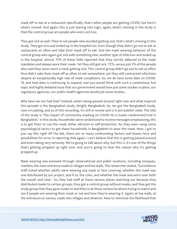mask off to eat at a restaurant specifically, that's when people are getting COVID, but here's what's missed. And again, this is just leaning into logic, again, what's missing in the study is that the control group are people who were sick too.

They got sick as well. They're not people who avoided getting sick, that's what's missing in this study. They got sick and ended up in the hospital too. Even though they didn't go out to eat at restaurants as often and take their mask off to eat. And the mask wearing behavior of the control group who again got sick with something else, another type of infection and ended up in the hospital, almost 75% of these folks reported that they strictly adhered to the mask mandates and always wore their mask. Yet they still got sick. 75%, versus just 3% of the people who said they never wore a mask getting sick. This control group didn't go out to eat as often thus didn't take their mask off as often to eat somewhere, yet they still contracted infections despite an exceptionally high rate of mask compliance. So, we do have some data on COVID-19, and that data is continuing to expand, and you would think with such a contentious hot topic and highly debated issue that our government would have put some studies in place, our regulatory agencies, our public health agencies would put some studies...

Why have we not had that? Instead, what's being passed around right now and what inspired this episode is the Bangladesh study. Alright, Bangladesh. So, we got the Bangladesh study, now circulating, and as of this recording, it's still in review and in it pre-publish state. The title of the study is "The impact of community masking on COVID-19, a cluster randomized trial in Bangladesh." In this study, households were randomized to receive messages emphasizing, this is to get them to use the mask, either altruism or self-protection. So, they were using some psychological tactics to get these households in Bangladesh to wear the mask. Now, I got to just say this right off the bat, there are so many confounding factors and biases here and possibilities for error in reporting that again, I can't believe that this is getting passed around and even taking very seriously. We're going to talk about why, but this is, it's one of the things that's getting propped up right now, and you're going to hear the reason why it's getting propped up.

Mask wearing was assessed through observational and public locations, including mosques, markets, the main entrance roads to villages and tea stalls. The researcher stated, "Surveillance staff noted whether adults were wearing any mask or face covering, whether the mask was one distributed by our project, and if so, the color, and whether the mask was worn over both the mouth and nose." So, they had staff at these various places watching out because they distributed masks to certain groups, they got a control group without masks, and they got the study group that they gave masks to and they're at these various locations trying to watch and see if people are wearing their mask or not and how they're wearing it. Again, at tea stalls, at the entrances to various roads into villages and whatnot. Now to minimize the likelihood that

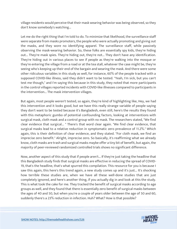village residents would perceive that their mask wearing behavior was being observed, so they don't know somebody's watching...

Let me do the right thing that I'm told to do. To minimize that likelihood, the surveillance staff were separate from masks promoters, the people who were actually promoting and giving out the masks, and they wore no identifying apparel. The surveillance staff, while passively observing the mask-wearing behavior. So, these folks are essentially spy kids, they're hiding out... They're mask spies. They're hiding out, they're not... They don't have any identification. They're hiding out in various places to see if people as they're walking into the mosque or they're entering the village from a road or at the tea stall, whatever the case might be, they're seeing who's keeping up their end of the bargain and wearing the mask. And there were some other ridiculous variables in this study as well, for instance, 60% of the people tracked with a supposed COVID-like illness, said they didn't want to be tested. "Yeah, I'm sick, but you can't test me though," and I'm saying this because in this study, they noted that more participants in the control villages reported incidents with COVID-like illnesses compared to participants in the intervention... The mask intervention villages.

But again, most people weren't tested, so again, they're kind of highlighting like, Hey, we had this intervention and it looks good, but we have this really strange variable of people saying they don't want to be tested because it's Bangladesh, even still, here's the results they found with this metaphoric gumbo of potential confounding factors, looking at interventions with surgical mask, cloth mask and a control group with no mask. The researchers stated, "We find clear evidence that surgical... " There's that word clear again. "We find clear evidence, that surgical masks lead to a relative reduction in symptomatic zero prevalence of 11.2%." Which again, this is their definition of clear evidence, and they stated. "For cloth mask, we find an imprecise zero benefit." Alright, imprecise zero. So basically, it's reaffirming what we already know, cloth masks are trash and surgical masks maybe offer a tiny bit of benefit, but again, the majority of peer-reviewed randomized controlled trials shows no significant difference.

Now, another aspect of this study that if people aren't... If they're just taking the headline that this Bangladesh study finds that surgical masks are effective in reducing the spread of COVID-19, that's the headline, that's what spurred this compilation. This resource for you is because I saw this again, this here's this trend again, a new study comes up and it's just... It's shocking how terrible these studies are, when we have all these well-done studies that are just completely ignored, and here's another thing, if you actually dig in and look at this the study. This is what took the cake for me. They tracked the benefit of surgical masks according to age groups as well, and they found that there is essentially zero benefit of surgical masks between the ages of 40 and 50, but when you're a couple of years older between the age of 50 and 60, suddenly there's a 23% reduction in infection. Huh? What? How is that possible?

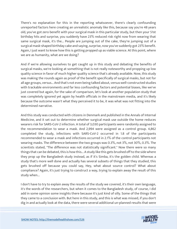There's no explanation for this in the reporting whatsoever, there's clearly confounding unreported factors here creating an unrealistic anomaly like this, because say you're 48 years old, you've got zero benefit with your surgical mask in this particular study, but then your 51st birthday hits and surprise, you suddenly have 23% reduced risk right now from wearing that same surgical mask, it's the... People are jumping out of the cake, they're jumping out of a surgical mask-shaped birthday cake and saying, surprise, now you've suddenly got 23% benefit. Again, I just want to know how this is getting propped up as viable science. At this point, where we are as humanity, what are we doing?

And if we're allowing ourselves to get caught up in this study and debating the benefits of surgical masks, we're looking at something that is not really noteworthy and propping up low quality science in favor of much higher quality science that's already available. Now, this study was making the rounds again as proof of the benefit specifically of surgical masks, but not for all age groups, versus... And that's not even being talked about, versus well-constructed studies with trackable environments and far less confounding factors and potential biases, like we've just covered but again, for the sake of comparison, let's look at another population study that was completely ignored yet again by health officials in the mainstream media, and it's likely because the outcome wasn't what they perceived it to be, it was what was not fitting into the determined narrative.

And this study was conducted with citizens in Denmark and published in the Annals of Internal Medicine, and it set out to determine whether surgical mask use outside the home reduces wearers risk for SARS-CoV-2 infection. A total of 3,030 participants were randomly assigned to the recommendation to wear a mask. And 2,994 were assigned as a control group. 4,862 completed the study, infections with SARS-CoV-2 occurred in 1.8 of the participants recommended to wear a mask and infections occurred in 2.1% of the control participants not wearing masks. The difference between the two groups was 0.3%, not 3%, not 30%, 0.3%. The scientists stated, "The difference was not statistically significant." Now there were so many things that can be debated, this is how this... A study like this gets brushed off to the side where they prop up the Bangladesh study instead, as if it's Simba, it's the golden child. Whereas a study that's more well done and actually has several subsets of things that they studied, this gets brushed off because you could say, Hey, what about source control? What about compliance? Again, it's just trying to construct a way, trying to explain away the result of this study when...

I don't have to try to explain away the results of the study we covered, it's their own language, it's the words of the researchers, but when it comes to the Bangladesh study, of course, I did add in some opinion some insights there because it's just kind of silly. Some of the things that they came to a conclusion with. But here in this study, and this is what was missed, if you don't dig in and actually look at the data, there were several additional un-planned results that were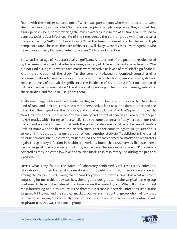found with these other subsets, one of which was participants who were reported to wear their mask exactly as instructed. So, these are people with high compliance, they studied this, again, people who reported wearing the mask exactly as instructed at all times, were found to contract SARS-CoV-2 infections 2% of the time, versus the control group who didn't wear a mask contracting SARS-CoV-2 infections 2.1% of the time. It's almost exactly the same. High compliance rate. These are the over-achievers. "I will always wear my mask" versus people who never wore a mask, 2% rate of infection versus 2.1% rate of infection.

So, what is that again? Not statistically significant. Another one of the post-hoc results noted by the researchers was that after analyzing a variety of different patient characteristics, "We did not find a subgroup where face masks were effective at levels of statistical significance." And the conclusion of the study. "In the community-based randomized control trial, a recommendation to wear a surgical mask when outside the home, among others, did not reduce at levels of statistical significance, the incidence of SARS-CoV-2 infections compared with no mask recommendation." The study exists, people put their time and energy into all of these studies, and for us to just ignore them.

That's one thing, but for us to acknowledge they exist number one, but more so to... Now, let's kind of rank and look at... Let's take a meta-perspective, look at all the data at once and see what does the majority of the data say, and you already know what that's pointing towards. Now let's look at one more aspect of mask safety and potential benefit and really look deeper at N95 masks, which for myself personally, I do see some potential efficacy here with our N95 masks, and we have to weigh that with the potential detrimental effects, because there's a little bit more with the fit with the effectiveness, there are some things to weigh. Just for us to weigh in the data as far as our duration of wear. Another study 2017 published in The Journal of Influenza and Other Respiratory Viruses titled The efficacy of medical masks and respirators against respiratory infection in healthcare workers, found that N95s versus fit-tested N95s versus surgical masks versus a control group where the researcher stated, "Purposefully selected as they indicated low levels of routine mask slash respiratory use during the pre-trial assessment."

Here's what they found, the rates of laboratory-confirmed viral respiratory infection, laboratory confirmed bacterial colonization and droplet-transmitted infections were lowest among the continuous N95 arm, that means they wore it the whole time, but what was most surprising for me in this study was how the targeted N95 group, and the surgical masks group continued to have higher rates of infections versus the control group. What? But what I found most interesting about this study is the dramatic increase in bacterial infections seen in the targeted N95 group and the surgical masks group versus the control group who had low rates of mask use, again, "purposefully selected as they indicated low levels of routine mask respirator use, this was the control group.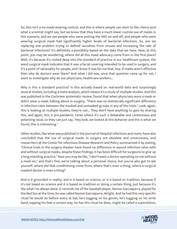So, this isn't a no-mask-wearing control, and this is where people can start to like cherry-pick what a scientist might say, but we know that they have a much lower routine use of masks in this scenario, and we see people who were putting the N95 on and off, and people who were wearing surgical mask had significantly higher levels of bacterial infections. So, are we replacing one problem trying to defend ourselves from viruses and increasing the rate of bacterial infections? It's definitely a possibility based on the data that we have. Now, at this point, you may be wondering, where did all this mask advocacy come from in the first place? Well, it's because it's rooted deep into the standard of practice in our healthcare system, the word surgical mask indicates that it was a facial covering intended to be used in surgery, and it's a point of rationality for people, and I know it was for me that, hey, if masks aren't effective then why do doctors wear them? And what I did was, once that question came up for me, I went to investigate why do our physicians, healthcare workers...

Why is this a standard practice? Is this actually based on real-world data and surprisingly several studies, including a meta-analysis, which means it's a study of multiple studies. And this was published in the Cochrane systematic review, found that when physicians wore a mask or didn't wear a mask, talking about in surgery. "There was no statistically significant difference in infection rates between the masked and unmasked groups in any of the trials." Look, again, this is looking at multiple studies, they're not... They don't have anything to gain by sharing this, and again, this is pre-pandemic times where it's such a debatable and contentious and polarizing issue, so they can just say, "Hey look, we looked at this behavior and this is what we found, this is interesting."

Other studies, like what was published in the Journal of Hospital infections and more, have also concluded that the use of surgical masks in surgery are obsolete and unnecessary, and researchers at the Center for Infectious Disease Research and Policy summarized it by stating, "Clinical trials in the surgery theater have found no difference in wound infection rates with and without surgical masks, despite these findings it has been difficult for surgeons to give up a long-standing practice." Now you may be like, "I don't want a doctor operating on me without a mask on," and that's fine, we're talking about a personal choice, but you've also got to ask yourself, where did that conditioning come from, where that's even a thing, where a surgical masked doctor is even a thing?

And is it grounded in reality, and is it based on science, or is it based on tradition, because if it's not based on science and it is based on tradition or doing a certain thing, just because it's like what I've always done. It reminds me of the baseball player, Nomar Garciaparra, played for the Red Sox at the time, he was called Nomar Garciaparra. Alright. And he had this very specific ritual he would do before every at bat, he's tugging on his gloves, he's tugging on his wrist band, tapping his feet a certain way, he has this ritual he does, might be called a superstition,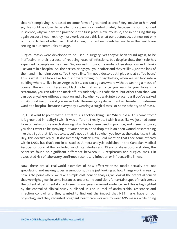that he's employing. Is it based on some form of grounded science? Hey, maybe to him. And so, this could be closer to parallel to a superstition, unfortunately, because it's not grounded in science, why we have the practice in the first place. Now, my issue, and in bringing this up again because I was like, they must work because this is what our doctors do, but now not only is it found to be not effective in that domain, this has been stretched out from the healthcare setting to our community at large.

Surgical masks were developed to be used in surgery, yet they've been found again, to be ineffective in their purpose of reducing rates of infections, but despite that, their role has expanded to people on the street. So, you walk into your favorite coffee shop now and it looks like you're in a hospital. So, the barista brings you your coffee and they're like... Just the look of them and in handing your coffee they're like, "I'm not a doctor, but I play one at coffee bean." This is what it all looks like for our programming, our psychology, when we set foot into a building where... I live in Los Angeles, it's... You can't go anywhere without wearing a mask, of course, there's this interesting black hole that when once you walk to your table in a restaurant, you can take the mask off, it's suddenly... It's safe there, but other than that, you can't go anywhere without a mask on and... So, when you walk into a place, it as if you've walked into Ground Zero, it's as if you walked into the emergency department or the infectious disease ward at a hospital, because everybody's wearing a surgical mask or some other type of mask.

So, I just want to point that out that this is another thing. Like Where did all this come from? Is it grounded in reality? I wish it was different. I really do, I wish it was like we just had some form of real-world research showing why this has been used in practice, and it seems logical, you don't want to be spraying out your aerosols and droplets in an open wound or something like that. I get that. It's not to say, Let's not do that. But when you look at the data, it says that, Hey, this doesn't really... It doesn't really matter. Now, I did mention that I see some efficacy within N95s, but that's not in all studies. A meta-analysis published in the Canadian Medical Association Journal that included six clinical studies and 23 surrogate exposure studies, the scientists found no significant difference between N95 respirators and surgical masks in associated risk of laboratory confirmed respiratory infection or influenza-like illness.

Now, these are all real-world examples of how effective these masks actually are, not speculating, not making gross assumptions, this is just looking at how things work in reality, now is the point where we take a simple cost-benefit analysis, we look at the potential benefit that we might glean in some instances, under some conditions for certain types of mask versus the potential detrimental effects seen in our peer-reviewed evidence, and this is highlighted by the controlled clinical study published in The Journal of antimicrobial resistance and infection control, and they wanted to find out the impact that N95 masks have on our physiology and they recruited pregnant healthcare workers to wear N95 masks while doing

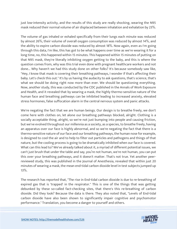just low-intensity activity, and the results of this study are really shocking, wearing the N95 mask reduced their normal volume of air displaced between inhalation and exhalation by 23%.

The volume of gas inhaled or exhaled specifically from their lungs each minute was reduced by almost 26%, their volume of overall oxygen consumption was reduced by almost 14%, and the ability to expire carbon dioxide was reduced by almost 18%. Now again, even as I'm going through this data, I'm like, this has got to be what happens over time as we're wearing it for a long time, no, this happened within 15 minutes. This happened within 15 minutes of putting on that N95 mask, they're literally inhibiting oxygen getting to the baby, and this is where the question comes from, why was this trial even done with pregnant healthcare workers and not done... Why haven't we had this study done on other folks? It's because somebody saw like, "Hey, I know that mask is covering their breathing pathways, I wonder if that's affecting their baby. Let's check this out." It's by us having the audacity to ask questions, that's science, that's what we should be doing right now more than ever. We should be questioning everything. Now, another study, this was conducted by the CDC published in the Annals of Work Exposure and Health, and it revealed that by wearing a mask, the highly thermo-sensitive nature of the human face and breathing pathways can be inhibited leading to increased anxiety, elevated stress hormones, false suffocation alarm in the central nervous system and panic attacks.

We're negating the fact that we are human beings. Our design is to breathe freely, we don't come here with clothes on, let alone our breathing pathways blocked, alright. Clothing is a socially acceptable thing, alright, so we're not just bumping into people and causing friction, but we've evolved throughout our millennia as a society, as a species, to breathe freely, having an apparatus over our face is highly abnormal, and so we're negating the fact that there is a thermo-sensitive nature of our face and our breathing pathways, the human nose for example, is designed to cool the air and to help to filter out particles and pathogens and things of that nature, but the cooling process is going to be dramatically inhibited when our face is covered. What can this lead to? We've already talked about it, a myriad of different potential issues, we can't just brush that under the table and say, you're not human, we're not human, you can put this over your breathing pathways, and it doesn't matter. That's not true. Yet another peerreviewed study, this was published in the Journal of Anesthesia, revealed that within just 20 minutes of wearing a mask, the mean end-tidal carbon dioxide level in test subjects jumped up 13%.

The research has reported that, "The rise in End-tidal carbon dioxide is due to re-breathing of expired gas that is 'trapped' in the respirator." This is one of the things that was getting debunked by these so-called fact-checking sites, that there's this re-breathing of carbon dioxide. Did they look? Because the data is there. They also noted that, "Levels of End-tidal carbon dioxide have also been shown to significantly impair cognitive and psychomotor performance." Translation, you become a danger to yourself and others.

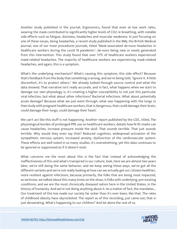Another study published in the journal, Ergonomics, found that even at low work rates, wearing the mask contributed to significantly higher levels of CO2 re-breathing, with notable side effects such as fatigue, dizziness, headaches and muscular weakness. In just focusing on one of these issues, being headaches, a recent study published in the BMJ, the British Medical Journal, one of our most procedures journals, titled "Mask-associated de-novo headaches in healthcare workers during the covid 19 pandemic", de-novo being new or newly generated from this intervention. This study found that over 51% of healthcare workers experienced mask-related headaches. The majority of healthcare workers are experiencing mask-related headaches, and again, this is a symptom.

What's the underlying mechanism? What's causing this symptom, this side effect? Because that's feedback from the body that something is wrong, and we're being told, "Ignore it. A little discomfort, it's to protect others." We already looked through source control and what the data showed. That narrative isn't really accurate, and in fact, what happens when we start to damage our own physiology is, it's creating a higher susceptibility to not just this particular viral infection, but what about other infections? Bacterial infections. What about potentially acute damage? Because what we just went through, what was happening with the lungs in that study with pregnant healthcare workers, that is dangerous, that could damage their brain, could damage their lungs, could damage their heart.

We can't act like this stuff is not happening. Another report published by the CDC, titled, The physiological burden of prolonged PPE use on healthcare workers, details how N-95 masks can cause headaches, increase pressure inside the skull. That sounds terrible. That just sounds terrible. Why would they even say that? Reduced cognition, widespread activation of the sympathetic nervous system, increased anxiety, dysfunction of the cardiovascular system. These effects are well noted in so many studies, it's overwhelming, yet this data continues to be ignored or suppressed as if it doesn't exist.

What concerns me the most about this is the fact that instead of acknowledging the ineffectiveness of this and what's transpired in our culture, look, here we are almost two years later, we're still doing the same behavior, and we keep seeing these ways, we've got all the different variants and we're not really looking at how can we actually get our citizens healthier, more resilient against infections, because primarily, the folks that are being most impacted, as we know, we talked about this many times on the show, is folks with underlying, pre-existing conditions, and we are the most chronically diseased nation here in the United States, in the history of humanity. And we're not doing anything about it. As a matter of fact, the mandates... Our treatment of this has made our society far sicker than it's ever been, like that. The rates of childhood obesity have skyrocketed. The report as of this recording, just came out, that is just devastating. What's happening to our children? And let alone the rest of us.

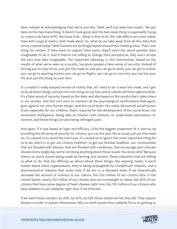Now, instead of acknowledging that, we're just like, "Well, we'll just wear two masks." We got data on the two-mask thing. It doesn't look good, and the two-mask thing is supposedly trying to create a de facto N-95. We know that... What is that N-95, the side effects are even riskier than with surgical masks, cloth mask alone. So, what do we take away from all this data that we've covered today? Well, humans are strikingly biased around this masking issue. That's one thing for certain. If they want to support their point, they'll extol the worst possible data imaginable, to do it. And if they're not willing to change their perspective, they won't accept the very best data imaginable. The important takeaway is, this intervention, based on the results of what we've seen as a society, has given people a false sense of security. Instead of forcing you to stay home, just put this mask on and you can go to work, you can go to school, you can go to sporting events, you can go on flights, you can go to concerts, you can live your life. Just put this thing on your face.

It's created a really warped version of reality that, all I need to do is wear this mask, and I get to do all these things. Just put this one thing on our face and it unlocks all these opportunities. It's a false sense of security, based on the data, and also based on the results that's taken place in our society. And this isn't even to mention all the psychological ramifications that again, goes against our very human design. And the social brain, the newly discovered social human brain, especially for our children, that's required for the development of the social brain, the emotional intelligence, being able to interact with humans, to understand expressions, to connect, and these things are also being infringed upon.

And again, if it was based on logic and efficacy, I'd be the biggest proponent of it. And so, by providing this all sense of security for citizens, you can live your life as usual, just put this mask on, it's caused us to avoid the real issue, it's caused us to ignore the most important thing for us to do, which is to get our citizens healthier, to get our families healthier, our communities that are flooded with disease, that are flooded with conditions, that encourage and cultivate disease every single day, we're not doing anything about those issues. You know why? Because there's so much money being made by farming sick citizens. These industries that are telling us what to do, that are offering up advice about these things, like wearing masks, if we're honest about these organizations, they're being propagated by a healthcare industry, and a pharmaceutical industry that exists only if we are in a diseased state. If we dramatically decrease the amount of sickness in our culture, the 250 million of our citizens here in the United States, nearly 250 million of our citizens who are overweight or obese, the 60% of our citizens that have some degree of heart disease right now, the 130 million of our citizens who have diabetes or pre-diabetes right now, if we dramatic...

If we slash those numbers by 20%, by 40%, by half, those industries fail, they fail. They require disease in order to sustain themselves. Why on earth would they suddenly focus on getting us

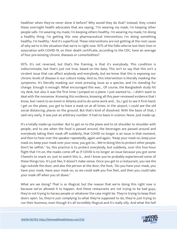healthier when they've never done it before? Why would they do that? Instead, they create these overnight health advocates that are saying, "I'm wearing my mask, I'm keeping other people safe. I'm wearing my mask; I'm keeping others healthy. I'm wearing my mask; I'm doing a healthy thing. I'm getting this new pharmaceutical intervention; I'm doing something healthy. I'm healthy." And it's superficial. These interventions are not getting at the root cause of why we're in the situation that we're in right now. 95% of the folks who've lost their lives in association with COVID-19, on their death certificate, according to the CDC, have an average of four pre-existing chronic diseases or comorbidities?

95%. It's not reversed, but that's the framing, is that it's everybody. This condition is indiscriminate, but that's just not true, based on the data. This isn't to say that this isn't a virulent issue that can affect anybody and everybody, but we know that this is exposing our chronic levels of disease in our culture today. And so, this intervention is literally masking the symptoms. It's literally masking our most pressing issue as a species, and I'm standing for change. Enough is enough. What encouraged this was... Of course, the Bangladesh study hit my desk, but also it was the first time I jumped on a plane. I just wanted to... I didn't want to deal with the nonsense. Knowing this evidence, knowing all this peer-reviewed evidence that I know, but I went to an event in Atlanta and to do some work and... So, I got to see it first-hand. I get on the plane, you got to have a mask on at all times. In the airport, I could see the old social distancing, places on the ground. But that's kind of dissolved. With the basis of that, I said very early, it was just an arbitrary number. It had no basis in science. None. Just made-up.

It's a totally made-up number. But to get on to the plane and to sit shoulder to shoulder with people, and to see when the food is passed around, the beverages are passed around and everybody taking their mask off suddenly, that COVID no longer is an issue in that moment, and then to hear over the speaker repeatedly, again and again, "Keep your mask on, keep your mask on, keep your mask over your nose, you got to... We're doing this to protect other people. Don't be selfish." So, this practice is to protect everybody, but suddenly, over this four-hour flight that I'm on, the masks come off as if COVID is no longer an issue because you got some Cheezits to snack on. Just to watch this is... And I know you've probably experienced some of these things too. It's just like, it doesn't make sense. Once you get to a restaurant, you see the sign outside the door, and also the person at the door, the host, "Do you have your mask, you have your mask. Have your mask on, so we could walk you five feet, and then you could take your mask off when you sit down."

What are we doing? That is so illogical, but the reason that we're doing this right now is because we've allowed it to happen. And these restaurants are not trying to be bad guys, they're not trying to harass people or whatever the case might be. They're trying to keep their doors open. So, they're just complying to what they're supposed to do, they're just trying to run their business, even though it's all incredibly illogical and it's really silly. And what the hell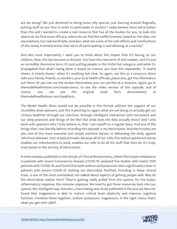are we doing? We just devolved to being some silly species, just dancing around illogically, putting stuff on our face in order to participate in society? I really believe there we're better than this and I wanted to create a real resource that has all the studies for you, to look into where do we find some efficacy, where do we find the ineffectiveness, based on the data, not assumptions, but real world data. And also, what are some of the side effects and ramifications of this newly invented action that we're all participating in and allowing as a society?

And also most importantly, I want you to think about the impact that it's having on our children. Now, this has become so divisive. You have this new term of anti-masker, and it's just an incredibly dismissive term. It's just putting people in this tinfoil hat category, and while it's propagated that what's being done is based on science, you hear this repeatedly, "it clearly shows, it clearly shows," when it's anything but clear. So again, use this as a resource, share with your family, friends, co-workers, your local health officials, physicians, get the information out there. Or you can use the studies themselves, you can use this as a resource. Again, go to themodelhealthshow.com/maskscience, to see the video version of this episode, and of course, you can see the original mask facts documentary at themodelhealthshow.com/maskfacts.

The Model Health Show would not be possible in this format without the support of our incredible show sponsors, and this is pointing to, again, what are we doing, to actually get our citizens healthier through our nutrition, through intelligent interaction with movement and our sleep practices and things of the like? But what does the data actually show? And I only work with sponsors who I truly believe in, that I use myself on a regular basis. And one of the things that I use literally before recording this episode is my electrolytes. And electrolytes are also one of the most essential and simple nutritive factors in defending the body against infectious diseases. Very simple principle, because all of our cells, this sodium potassium pump enables our mitochondria to work, enables our cells to do all the stuff that they do. It's truly, truly based on the activity of electrolytes.

A meta-analysis published in the Annals of Clinical Biochemistry, titled, Electrolyte imbalances in patients with severe Coronavirus disease, COVID-19, analyzed five studies with nearly 1500 patients with COVID-19, and found that both sodium and potassium were significantly lower in patients with severe COVID-19. Getting our electrolyte fortified, including in these clinical trials, is one of the most overlooked, not talked about aspects of getting people well. Why do the electrolytes matter here? They're getting really pulled from the system, for the body's inflammatory response, the immune response. We need to get those resources back into our system, the intelligent way. And also, a fascinating new study published in the journal, Neuron, found that magnesium is able to restore critical brain plasticity and improve cognitive function. Combine these together, sodium potassium, magnesium, in the right ratios, that's what you get with LMNT.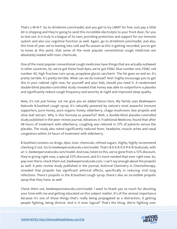That's L-M-N-T. Go to drinklmnt.com/model, and you get to try LMNT for free. Just pay a little bit in shipping and they're going to send this incredible electrolyte to your front door, for you to test out. It is truly in a league of its own, providing protection and support for our immune system and also our cognitive function as well. Again, go to drinklmnt.com/model, and also, this time of year, we're leaning into cold and flu season as this is getting recorded, you've got to know at this point, that some of the most popular conventional cough medicines are absolutely loaded with toxic chemicals.

One of the most popular conventional cough medicines have things that are actually outlawed in other countries. So, we've got these food dyes, we've got FD&C blue number one, FD&C red number 40, high fructose corn syrup, propylene glycol, saccharin. The list goes on and on. It's pretty terrible. It's pretty terrible. What can we do instead? And I highly encourage you to get this in your cabinet right now, for yourself and your kids, should you need it. A randomized double-blind placebo-controlled study revealed that honey was able to outperform a placebo and significantly reduce cough frequency and severity at night and improved sleep quality.

Now, it's not just honey. Let me give you an added bonus here, My family uses Beekeepers Naturals B.Soothed cough syrup. It's naturally powered by nature's most powerful immune supporters, pure honey, pure organic honey, elderberry, chaga mushroom, bee propolis and olive leaf extract. Why is this formula so powerful? Well, a double-blind placebo-controlled study published in the peer review journal, Advances in Traditional Medicine, found that after 48 hours of treatment with elderberry, coughing was relieved in 31% of patients versus the placebo. The study also noted significantly reduced fever, headache, muscle aches and nasal congestion within 24 hours of treatment with elderberry.

B.Soothed contains no drugs, dyes, toxic chemicals, refined sugars. Highly, highly recommend checking it out. Go to beekeepersnaturals.com/model. That's B-E-E-K-E-E-P-E-R-Snaturals, with an 's', beekeepersnaturals.com/model. And now, listen to this, we've gone from a 15% discount, they're giving right now, a special 25% discount, and it's more needed than ever right now. So, pop over there, check them out, beekeepersnaturals.com. I can't say enough about the propolis as well. A peer review study published in the journal, Antiviral Chemistry in Chemotherapy, revealed that propolis has significant antiviral effects, specifically in reducing viral lung infections. There's propolis in the B.Soothed cough syrup, there's also an incredible propolis spray that they have, as well.

Check them out, beekeepersnaturals.com/model. I want to thank you so much for devoting your time with me and getting educated on this subject matter. It's of the utmost importance because it's one of those things that's really being propagated as a distraction, it getting people fighting, being divisive. And is it even logical? That's the thing. We're fighting over